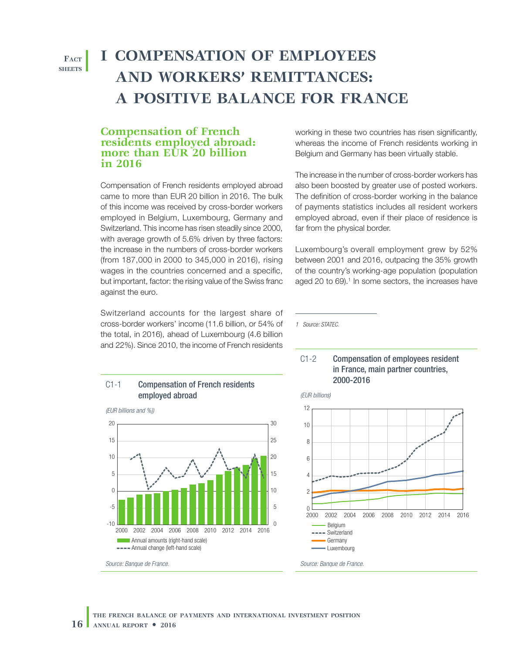**Fact sheets**

# **I COMPENSATION OF EMPLOYEES AND WORKERS' REMITTANCES: A POSITIVE BALANCE FOR FRANCE**

### **Compensation of French residents employed abroad: more than EUR 20 billion in 2016**

Compensation of French residents employed abroad came to more than EUR 20 billion in 2016. The bulk of this income was received by cross-border workers employed in Belgium, Luxembourg, Germany and Switzerland. This income has risen steadily since 2000, with average growth of 5.6% driven by three factors: the increase in the numbers of cross‑border workers (from 187,000 in 2000 to 345,000 in 2016), rising wages in the countries concerned and a specific, but important, factor: the rising value of the Swiss franc against the euro.

Switzerland accounts for the largest share of cross‑border workers' income (11.6 billion, or 54% of the total, in 2016), ahead of Luxembourg (4.6 billion and 22%). Since 2010, the income of French residents

C1-1 Compensation of French residents employed abroad



working in these two countries has risen significantly, whereas the income of French residents working in Belgium and Germany has been virtually stable.

The increase in the number of cross‑border workers has also been boosted by greater use of posted workers. The definition of cross-border working in the balance of payments statistics includes all resident workers employed abroad, even if their place of residence is far from the physical border.

Luxembourg's overall employment grew by 52% between 2001 and 2016, outpacing the 35% growth of the country's working‑age population (population aged 20 to 69).<sup>1</sup> In some sectors, the increases have

*1 Source: STATEC.*



*(EUR billions)*

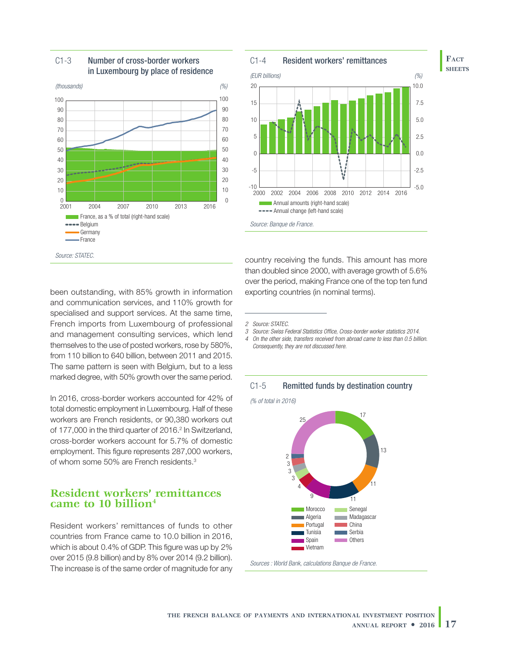

#### C1-3 Number of cross-border workers in Luxembourg by place of residence



**Fact sheets**



#### *Source: Banque de France.*

country receiving the funds. This amount has more than doubled since 2000, with average growth of 5.6% over the period, making France one of the top ten fund exporting countries (in nominal terms).

*2 Source: STATEC.*

*3 Source: Swiss Federal Statistics Office, Cross-border worker statistics 2014.*

- *4 On the other side, transfers received from abroad came to less than 0.5 billion.*
- *Consequently, they are not discussed here.*



*(% of total in 2016)*



#### been outstanding, with 85% growth in information and communication services, and 110% growth for specialised and support services. At the same time, French imports from Luxembourg of professional and management consulting services, which lend themselves to the use of posted workers, rose by 580%, from 110 billion to 640 billion, between 2011 and 2015. The same pattern is seen with Belgium, but to a less marked degree, with 50% growth over the same period.

In 2016, cross-border workers accounted for 42% of total domestic employment in Luxembourg. Half of these workers are French residents, or 90,380 workers out of 177,000 in the third quarter of 2016.<sup>2</sup> In Switzerland, cross‑border workers account for 5.7% of domestic employment. This figure represents 287,000 workers, of whom some 50% are French residents.3

## **Resident workers' remittances came to 10 billion4**

Resident workers' remittances of funds to other countries from France came to 10.0 billion in 2016, which is about 0.4% of GDP. This figure was up by 2% over 2015 (9.8 billion) and by 8% over 2014 (9.2 billion). The increase is of the same order of magnitude for any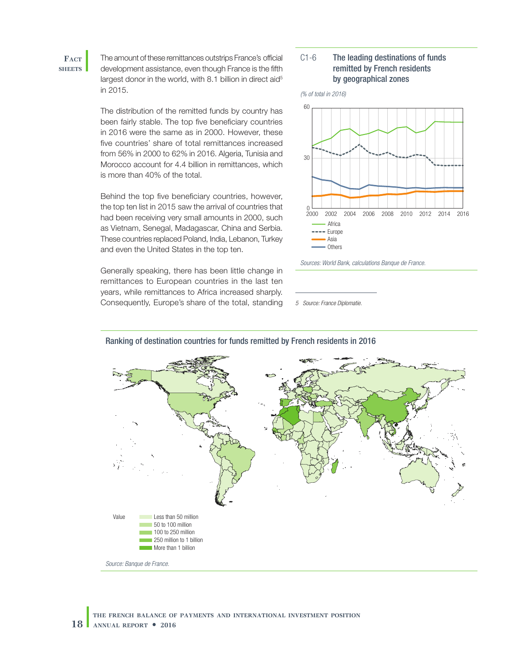#### **Fact sheets**

The amount of these remittances outstrips France's official development assistance, even though France is the fifth largest donor in the world, with 8.1 billion in direct aid<sup>5</sup> in 2015.

The distribution of the remitted funds by country has been fairly stable. The top five beneficiary countries in 2016 were the same as in 2000. However, these five countries' share of total remittances increased from 56% in 2000 to 62% in 2016. Algeria, Tunisia and Morocco account for 4.4 billion in remittances, which is more than 40% of the total.

Behind the top five beneficiary countries, however, the top ten list in 2015 saw the arrival of countries that had been receiving very small amounts in 2000, such as Vietnam, Senegal, Madagascar, China and Serbia. These countries replaced Poland, India, Lebanon, Turkey and even the United States in the top ten.

Generally speaking, there has been little change in remittances to European countries in the last ten years, while remittances to Africa increased sharply. Consequently, Europe's share of the total, standing *5 Source: France Diplomatie.*

#### C1-6 The leading destinations of funds remitted by French residents by geographical zones



*Sources: World Bank, calculations Banque de France.*